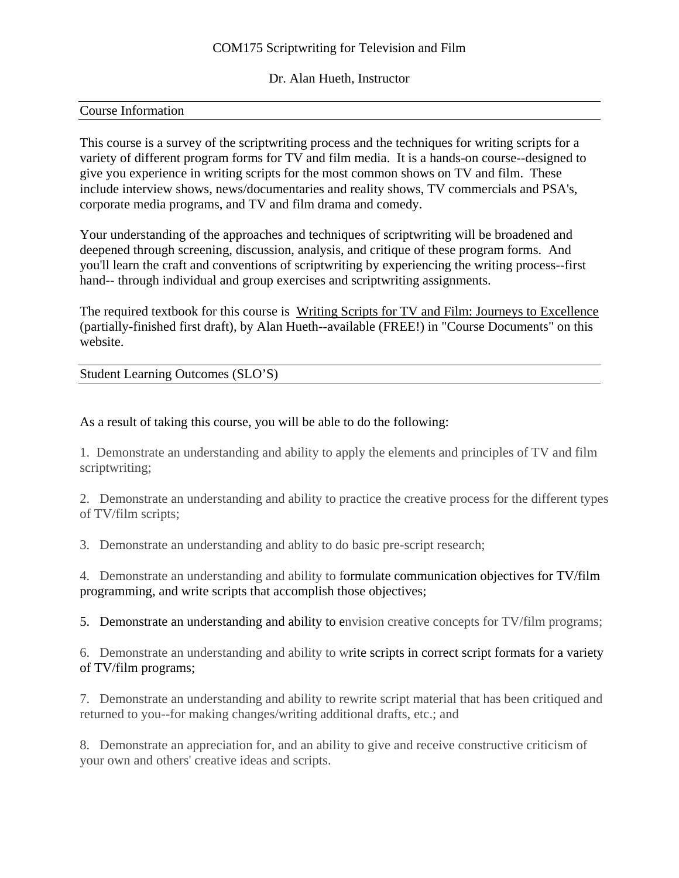## COM175 Scriptwriting for Television and Film

Dr. Alan Hueth, Instructor

### Course Information

This course is a survey of the scriptwriting process and the techniques for writing scripts for a variety of different program forms for TV and film media. It is a hands-on course--designed to give you experience in writing scripts for the most common shows on TV and film. These include interview shows, news/documentaries and reality shows, TV commercials and PSA's, corporate media programs, and TV and film drama and comedy.

Your understanding of the approaches and techniques of scriptwriting will be broadened and deepened through screening, discussion, analysis, and critique of these program forms. And you'll learn the craft and conventions of scriptwriting by experiencing the writing process--first hand-- through individual and group exercises and scriptwriting assignments.

The required textbook for this course is Writing Scripts for TV and Film: Journeys to Excellence (partially-finished first draft), by Alan Hueth--available (FREE!) in "Course Documents" on this website.

Student Learning Outcomes (SLO'S)

As a result of taking this course, you will be able to do the following:

1. Demonstrate an understanding and ability to apply the elements and principles of TV and film scriptwriting;

2. Demonstrate an understanding and ability to practice the creative process for the different types of TV/film scripts;

3. Demonstrate an understanding and ablity to do basic pre-script research;

4. Demonstrate an understanding and ability to formulate communication objectives for TV/film programming, and write scripts that accomplish those objectives;

5. Demonstrate an understanding and ability to envision creative concepts for TV/film programs;

6. Demonstrate an understanding and ability to write scripts in correct script formats for a variety of TV/film programs;

7. Demonstrate an understanding and ability to rewrite script material that has been critiqued and returned to you--for making changes/writing additional drafts, etc.; and

8. Demonstrate an appreciation for, and an ability to give and receive constructive criticism of your own and others' creative ideas and scripts.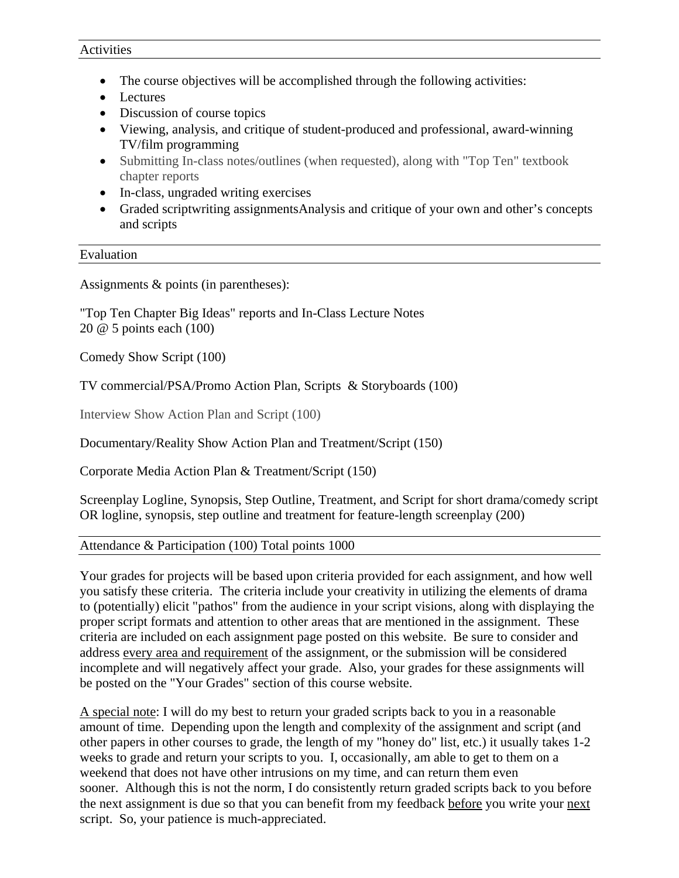- The course objectives will be accomplished through the following activities:
- Lectures
- Discussion of course topics
- Viewing, analysis, and critique of student-produced and professional, award-winning TV/film programming
- Submitting In-class notes/outlines (when requested), along with "Top Ten" textbook chapter reports
- In-class, ungraded writing exercises
- Graded scriptwriting assignmentsAnalysis and critique of your own and other's concepts and scripts

Assignments & points (in parentheses):

"Top Ten Chapter Big Ideas" reports and In-Class Lecture Notes 20 @ 5 points each (100)

Comedy Show Script (100)

TV commercial/PSA/Promo Action Plan, Scripts & Storyboards (100)

Interview Show Action Plan and Script (100)

Documentary/Reality Show Action Plan and Treatment/Script (150)

Corporate Media Action Plan & Treatment/Script (150)

Screenplay Logline, Synopsis, Step Outline, Treatment, and Script for short drama/comedy script OR logline, synopsis, step outline and treatment for feature-length screenplay (200)

Attendance & Participation (100) Total points 1000

Your grades for projects will be based upon criteria provided for each assignment, and how well you satisfy these criteria. The criteria include your creativity in utilizing the elements of drama to (potentially) elicit "pathos" from the audience in your script visions, along with displaying the proper script formats and attention to other areas that are mentioned in the assignment. These criteria are included on each assignment page posted on this website. Be sure to consider and address every area and requirement of the assignment, or the submission will be considered incomplete and will negatively affect your grade. Also, your grades for these assignments will be posted on the "Your Grades" section of this course website.

A special note: I will do my best to return your graded scripts back to you in a reasonable amount of time. Depending upon the length and complexity of the assignment and script (and other papers in other courses to grade, the length of my "honey do" list, etc.) it usually takes 1-2 weeks to grade and return your scripts to you. I, occasionally, am able to get to them on a weekend that does not have other intrusions on my time, and can return them even sooner. Although this is not the norm, I do consistently return graded scripts back to you before the next assignment is due so that you can benefit from my feedback before you write your next script. So, your patience is much-appreciated.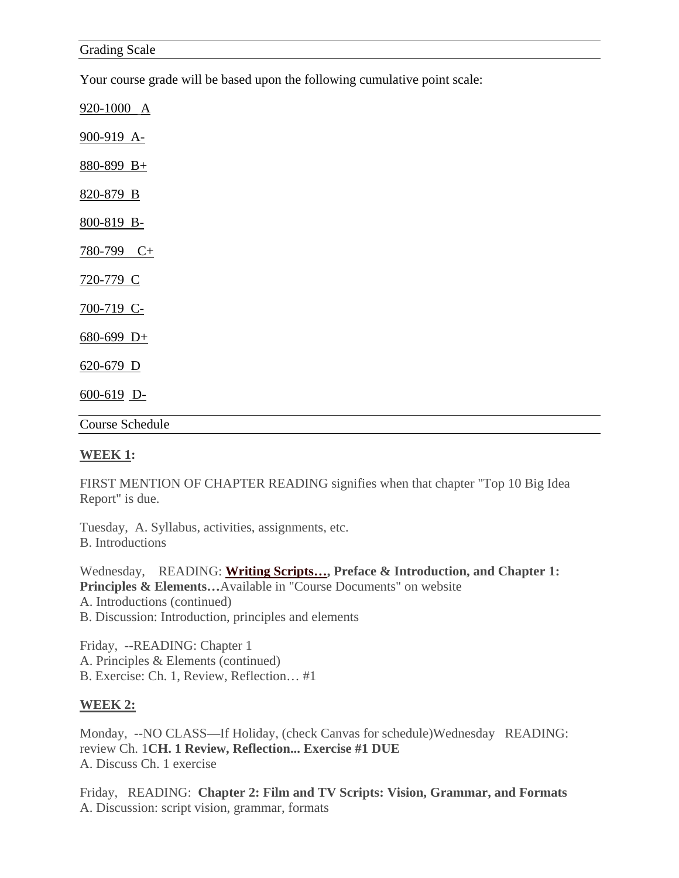Your course grade will be based upon the following cumulative point scale:

920-1000 A 900-919 A-880-899 B+ 820-879 B

800-819 B-

 $780-799$  C+

720-779 C

700-719 C-

 $680-699$  D+

620-679 D

 $\underline{600-619}$  D-

Course Schedule

### **WEEK 1:**

FIRST MENTION OF CHAPTER READING signifies when that chapter "Top 10 Big Idea Report" is due.

Tuesday, A. Syllabus, activities, assignments, etc. B. Introductions

Wednesday, READING: **Writing Scripts…, Preface & Introduction, and Chapter 1: Principles & Elements...**Available in "Course Documents" on website A. Introductions (continued) B. Discussion: Introduction, principles and elements

Friday, --READING: Chapter 1 A. Principles & Elements (continued) B. Exercise: Ch. 1, Review, Reflection… #1

### **WEEK 2:**

Monday, --NO CLASS—If Holiday, (check Canvas for schedule)Wednesday READING: review Ch. 1**CH. 1 Review, Reflection... Exercise #1 DUE** A. Discuss Ch. 1 exercise

Friday, READING: **Chapter 2: Film and TV Scripts: Vision, Grammar, and Formats** A. Discussion: script vision, grammar, formats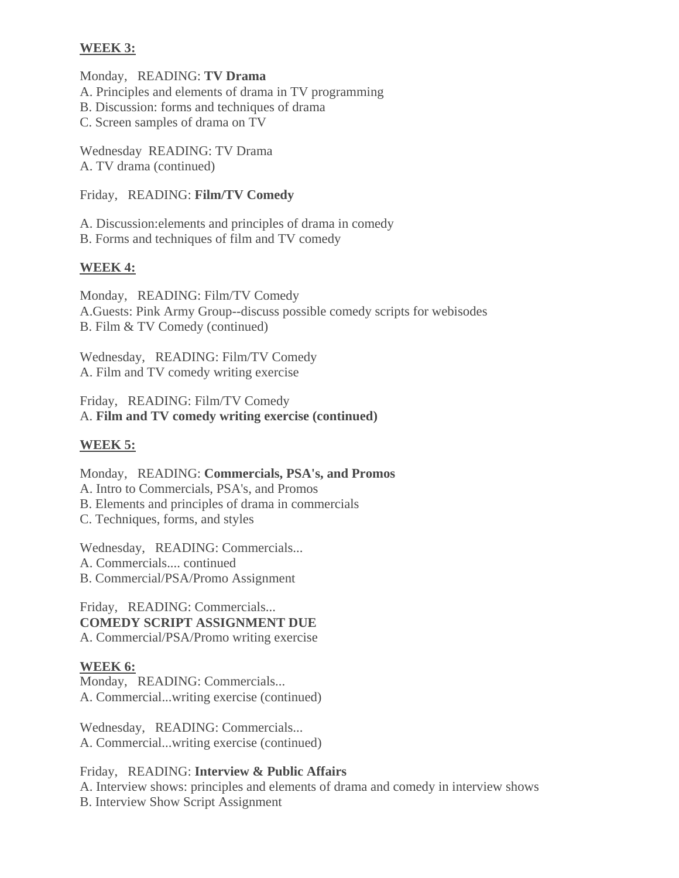## **WEEK 3:**

Monday, READING: **TV Drama**

A. Principles and elements of drama in TV programming

B. Discussion: forms and techniques of drama

C. Screen samples of drama on TV

Wednesday READING: TV Drama A. TV drama (continued)

Friday, READING: **Film/TV Comedy**

A. Discussion:elements and principles of drama in comedy B. Forms and techniques of film and TV comedy

# **WEEK 4:**

Monday, READING: Film/TV Comedy A.Guests: Pink Army Group--discuss possible comedy scripts for webisodes B. Film & TV Comedy (continued)

Wednesday, READING: Film/TV Comedy A. Film and TV comedy writing exercise

Friday, READING: Film/TV Comedy A. **Film and TV comedy writing exercise (continued)**

# **WEEK 5:**

Monday, READING: **Commercials, PSA's, and Promos** A. Intro to Commercials, PSA's, and Promos B. Elements and principles of drama in commercials C. Techniques, forms, and styles

Wednesday, READING: Commercials... A. Commercials.... continued

B. Commercial/PSA/Promo Assignment

Friday, READING: Commercials... **COMEDY SCRIPT ASSIGNMENT DUE** A. Commercial/PSA/Promo writing exercise

## **WEEK 6:**

Monday, READING: Commercials... A. Commercial...writing exercise (continued)

Wednesday, READING: Commercials... A. Commercial...writing exercise (continued)

Friday, READING: **Interview & Public Affairs** A. Interview shows: principles and elements of drama and comedy in interview shows B. Interview Show Script Assignment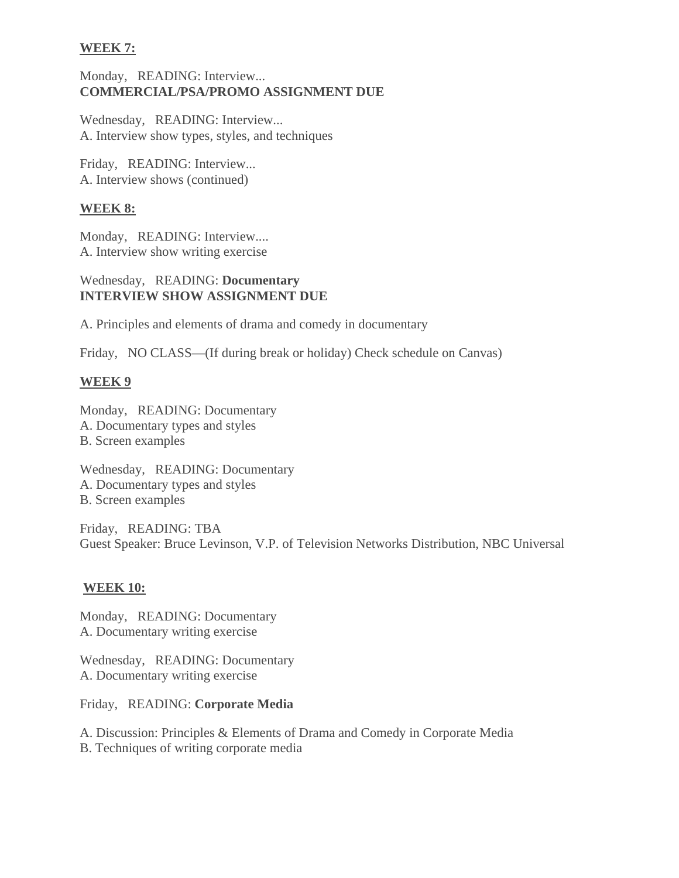## **WEEK 7:**

## Monday, READING: Interview... **COMMERCIAL/PSA/PROMO ASSIGNMENT DUE**

Wednesday, READING: Interview... A. Interview show types, styles, and techniques

Friday, READING: Interview... A. Interview shows (continued)

### **WEEK 8:**

Monday, READING: Interview.... A. Interview show writing exercise

## Wednesday, READING: **Documentary INTERVIEW SHOW ASSIGNMENT DUE**

A. Principles and elements of drama and comedy in documentary

Friday, NO CLASS—(If during break or holiday) Check schedule on Canvas)

### **WEEK 9**

Monday, READING: Documentary A. Documentary types and styles B. Screen examples

Wednesday, READING: Documentary A. Documentary types and styles B. Screen examples

Friday, READING: TBA Guest Speaker: Bruce Levinson, V.P. of Television Networks Distribution, NBC Universal

### **WEEK 10:**

Monday, READING: Documentary A. Documentary writing exercise

Wednesday, READING: Documentary A. Documentary writing exercise

Friday, READING: **Corporate Media** 

A. Discussion: Principles & Elements of Drama and Comedy in Corporate Media

B. Techniques of writing corporate media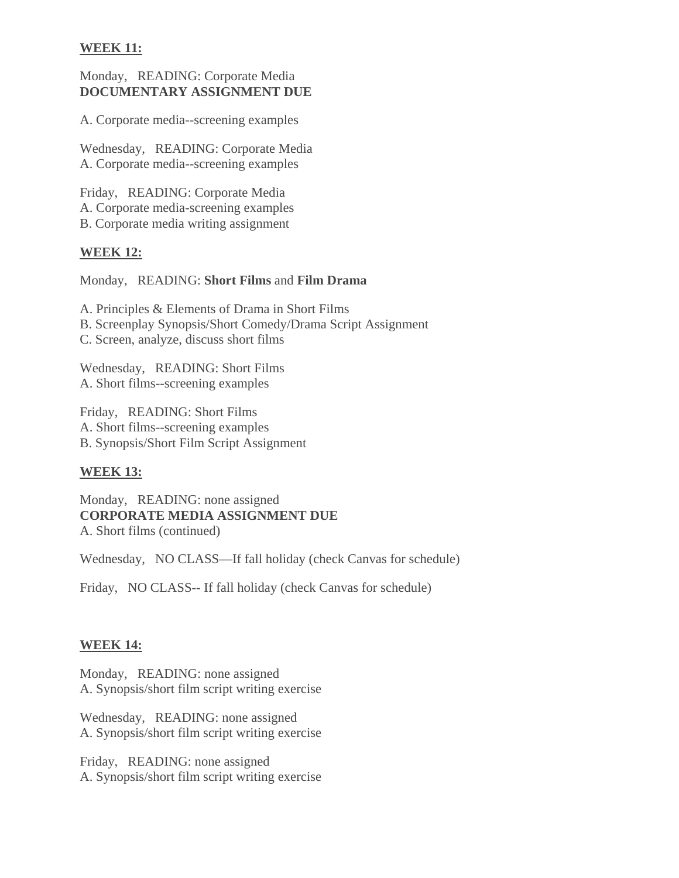## **WEEK 11:**

## Monday, READING: Corporate Media **DOCUMENTARY ASSIGNMENT DUE**

A. Corporate media--screening examples

Wednesday, READING: Corporate Media A. Corporate media--screening examples

Friday, READING: Corporate Media A. Corporate media-screening examples B. Corporate media writing assignment

## **WEEK 12:**

Monday, READING: **Short Films** and **Film Drama**

A. Principles & Elements of Drama in Short Films

B. Screenplay Synopsis/Short Comedy/Drama Script Assignment

C. Screen, analyze, discuss short films

Wednesday, READING: Short Films A. Short films--screening examples

Friday, READING: Short Films A. Short films--screening examples B. Synopsis/Short Film Script Assignment

## **WEEK 13:**

Monday, READING: none assigned **CORPORATE MEDIA ASSIGNMENT DUE** A. Short films (continued)

Wednesday, NO CLASS—If fall holiday (check Canvas for schedule)

Friday, NO CLASS-- If fall holiday (check Canvas for schedule)

## **WEEK 14:**

Monday, READING: none assigned A. Synopsis/short film script writing exercise

Wednesday, READING: none assigned A. Synopsis/short film script writing exercise

Friday, READING: none assigned A. Synopsis/short film script writing exercise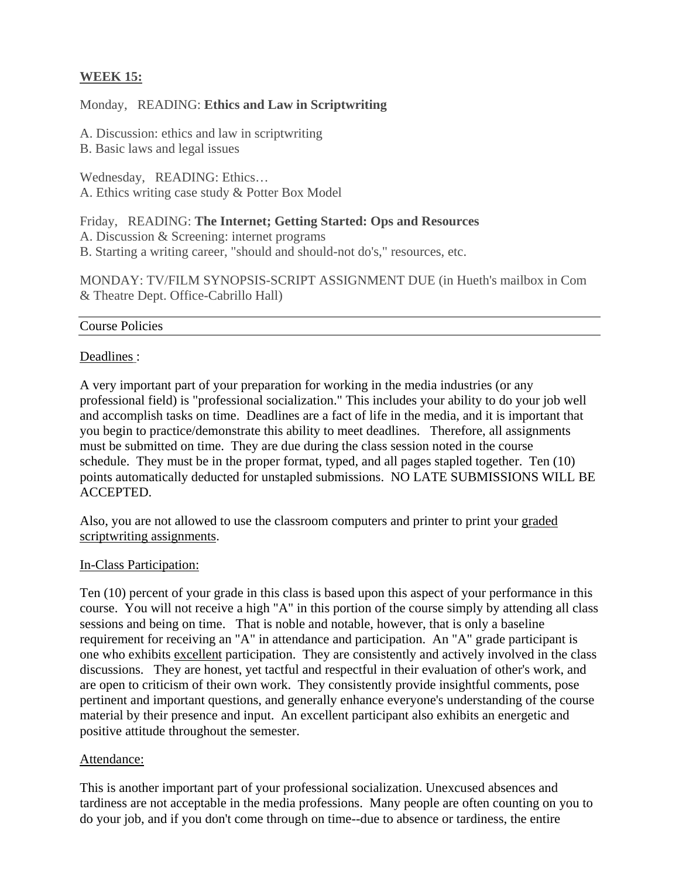# **WEEK 15:**

### Monday, READING: **Ethics and Law in Scriptwriting**

A. Discussion: ethics and law in scriptwriting

B. Basic laws and legal issues

Wednesday, READING: Ethics… A. Ethics writing case study & Potter Box Model

Friday, READING: **The Internet; Getting Started: Ops and Resources** A. Discussion & Screening: internet programs

B. Starting a writing career, "should and should-not do's," resources, etc.

MONDAY: TV/FILM SYNOPSIS-SCRIPT ASSIGNMENT DUE (in Hueth's mailbox in Com & Theatre Dept. Office-Cabrillo Hall)

### Course Policies

### Deadlines :

A very important part of your preparation for working in the media industries (or any professional field) is "professional socialization." This includes your ability to do your job well and accomplish tasks on time. Deadlines are a fact of life in the media, and it is important that you begin to practice/demonstrate this ability to meet deadlines. Therefore, all assignments must be submitted on time. They are due during the class session noted in the course schedule. They must be in the proper format, typed, and all pages stapled together. Ten (10) points automatically deducted for unstapled submissions. NO LATE SUBMISSIONS WILL BE ACCEPTED.

Also, you are not allowed to use the classroom computers and printer to print your graded scriptwriting assignments.

### In-Class Participation:

Ten (10) percent of your grade in this class is based upon this aspect of your performance in this course. You will not receive a high "A" in this portion of the course simply by attending all class sessions and being on time. That is noble and notable, however, that is only a baseline requirement for receiving an "A" in attendance and participation. An "A" grade participant is one who exhibits excellent participation. They are consistently and actively involved in the class discussions. They are honest, yet tactful and respectful in their evaluation of other's work, and are open to criticism of their own work. They consistently provide insightful comments, pose pertinent and important questions, and generally enhance everyone's understanding of the course material by their presence and input. An excellent participant also exhibits an energetic and positive attitude throughout the semester.

### Attendance:

This is another important part of your professional socialization. Unexcused absences and tardiness are not acceptable in the media professions. Many people are often counting on you to do your job, and if you don't come through on time--due to absence or tardiness, the entire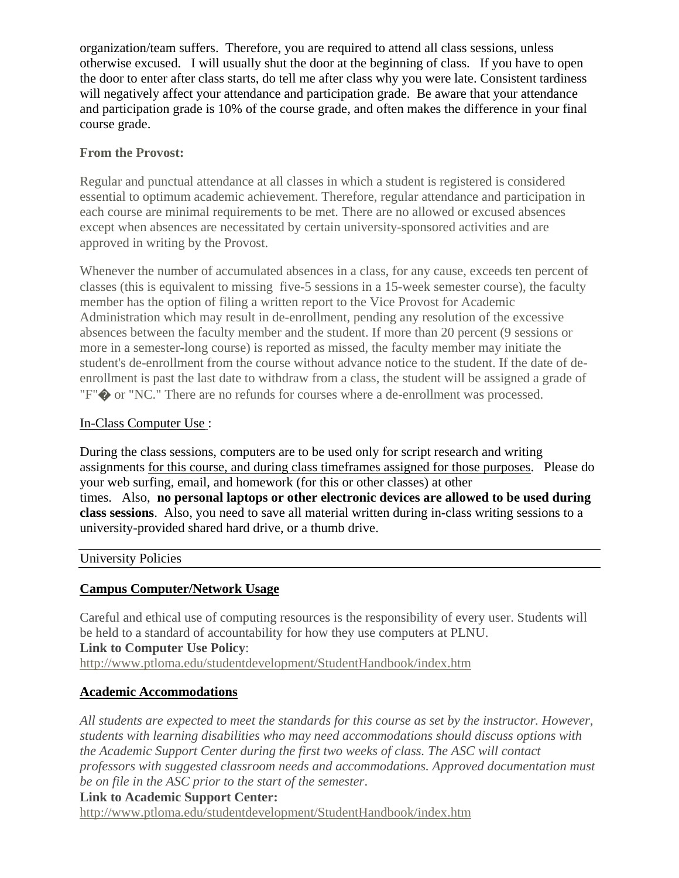organization/team suffers. Therefore, you are required to attend all class sessions, unless otherwise excused. I will usually shut the door at the beginning of class. If you have to open the door to enter after class starts, do tell me after class why you were late. Consistent tardiness will negatively affect your attendance and participation grade. Be aware that your attendance and participation grade is 10% of the course grade, and often makes the difference in your final course grade.

## **From the Provost:**

Regular and punctual attendance at all classes in which a student is registered is considered essential to optimum academic achievement. Therefore, regular attendance and participation in each course are minimal requirements to be met. There are no allowed or excused absences except when absences are necessitated by certain university-sponsored activities and are approved in writing by the Provost.

Whenever the number of accumulated absences in a class, for any cause, exceeds ten percent of classes (this is equivalent to missing five-5 sessions in a 15-week semester course), the faculty member has the option of filing a written report to the Vice Provost for Academic Administration which may result in de-enrollment, pending any resolution of the excessive absences between the faculty member and the student. If more than 20 percent (9 sessions or more in a semester-long course) is reported as missed, the faculty member may initiate the student's de-enrollment from the course without advance notice to the student. If the date of deenrollment is past the last date to withdraw from a class, the student will be assigned a grade of "F"� or "NC." There are no refunds for courses where a de-enrollment was processed.

## In-Class Computer Use :

During the class sessions, computers are to be used only for script research and writing assignments for this course, and during class timeframes assigned for those purposes. Please do your web surfing, email, and homework (for this or other classes) at other times. Also, **no personal laptops or other electronic devices are allowed to be used during class sessions**. Also, you need to save all material written during in-class writing sessions to a university-provided shared hard drive, or a thumb drive.

### University Policies

## **Campus Computer/Network Usage**

Careful and ethical use of computing resources is the responsibility of every user. Students will be held to a standard of accountability for how they use computers at PLNU.

### **Link to Computer Use Policy**:

http://www.ptloma.edu/studentdevelopment/StudentHandbook/index.htm

## **Academic Accommodations**

*All students are expected to meet the standards for this course as set by the instructor. However, students with learning disabilities who may need accommodations should discuss options with the Academic Support Center during the first two weeks of class. The ASC will contact professors with suggested classroom needs and accommodations. Approved documentation must be on file in the ASC prior to the start of the semester*.

### **Link to Academic Support Center:**

http://www.ptloma.edu/studentdevelopment/StudentHandbook/index.htm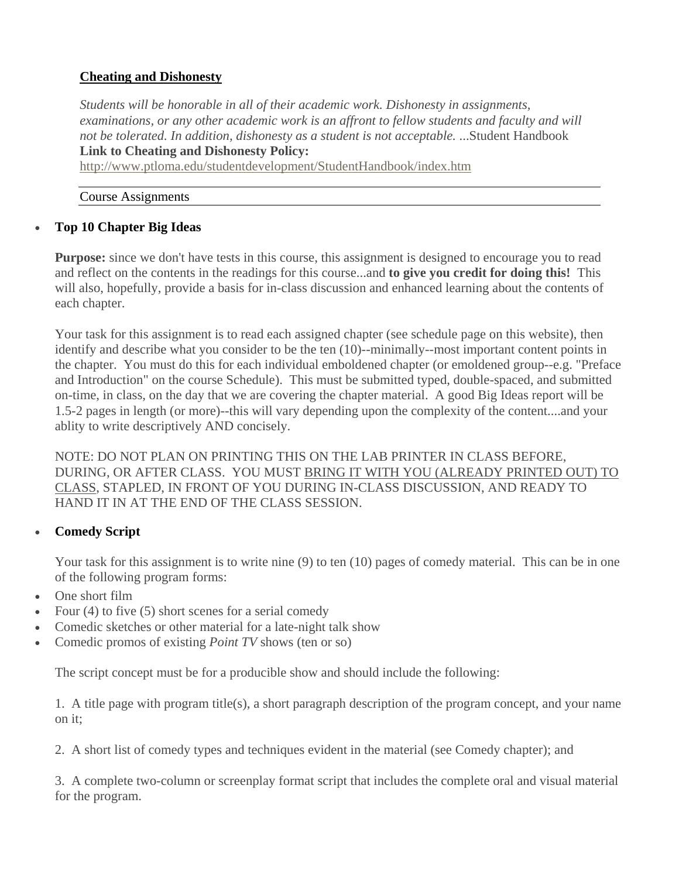# **Cheating and Dishonesty**

*Students will be honorable in all of their academic work. Dishonesty in assignments, examinations, or any other academic work is an affront to fellow students and faculty and will not be tolerated. In addition, dishonesty as a student is not acceptable.* ...Student Handbook **Link to Cheating and Dishonesty Policy:**

http://www.ptloma.edu/studentdevelopment/StudentHandbook/index.htm

#### Course Assignments

## **Top 10 Chapter Big Ideas**

**Purpose:** since we don't have tests in this course, this assignment is designed to encourage you to read and reflect on the contents in the readings for this course...and **to give you credit for doing this!** This will also, hopefully, provide a basis for in-class discussion and enhanced learning about the contents of each chapter.

Your task for this assignment is to read each assigned chapter (see schedule page on this website), then identify and describe what you consider to be the ten (10)--minimally--most important content points in the chapter. You must do this for each individual emboldened chapter (or emoldened group--e.g. "Preface and Introduction" on the course Schedule). This must be submitted typed, double-spaced, and submitted on-time, in class, on the day that we are covering the chapter material. A good Big Ideas report will be 1.5-2 pages in length (or more)--this will vary depending upon the complexity of the content....and your ablity to write descriptively AND concisely.

NOTE: DO NOT PLAN ON PRINTING THIS ON THE LAB PRINTER IN CLASS BEFORE, DURING, OR AFTER CLASS. YOU MUST BRING IT WITH YOU (ALREADY PRINTED OUT) TO CLASS, STAPLED, IN FRONT OF YOU DURING IN-CLASS DISCUSSION, AND READY TO HAND IT IN AT THE END OF THE CLASS SESSION.

## **Comedy Script**

Your task for this assignment is to write nine (9) to ten (10) pages of comedy material. This can be in one of the following program forms:

- One short film
- Four (4) to five (5) short scenes for a serial comedy
- Comedic sketches or other material for a late-night talk show
- Comedic promos of existing *Point TV* shows (ten or so)

The script concept must be for a producible show and should include the following:

1. A title page with program title(s), a short paragraph description of the program concept, and your name on it;

2. A short list of comedy types and techniques evident in the material (see Comedy chapter); and

3. A complete two-column or screenplay format script that includes the complete oral and visual material for the program.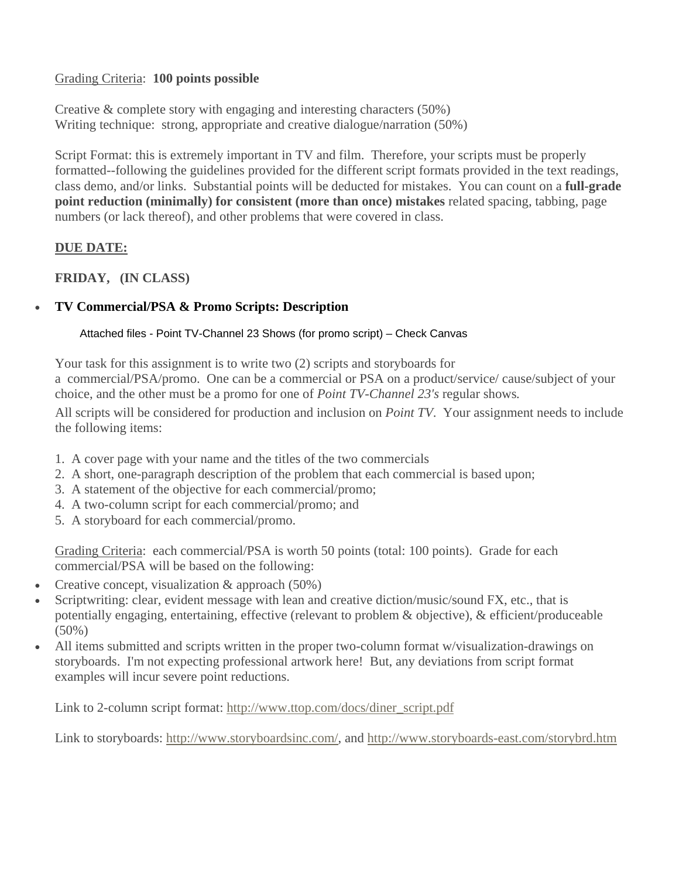## Grading Criteria: **100 points possible**

Creative & complete story with engaging and interesting characters (50%) Writing technique: strong, appropriate and creative dialogue/narration (50%)

Script Format: this is extremely important in TV and film. Therefore, your scripts must be properly formatted--following the guidelines provided for the different script formats provided in the text readings, class demo, and/or links. Substantial points will be deducted for mistakes. You can count on a **full-grade point reduction (minimally) for consistent (more than once) mistakes** related spacing, tabbing, page numbers (or lack thereof), and other problems that were covered in class.

# **DUE DATE:**

**FRIDAY, (IN CLASS)** 

# **TV Commercial/PSA & Promo Scripts: Description**

Attached files - Point TV-Channel 23 Shows (for promo script) – Check Canvas

Your task for this assignment is to write two (2) scripts and storyboards for a commercial/PSA/promo. One can be a commercial or PSA on a product/service/ cause/subject of your choice, and the other must be a promo for one of *Point TV-Channel 23's* regular shows*.*

All scripts will be considered for production and inclusion on *Point TV*. Your assignment needs to include the following items:

- 1. A cover page with your name and the titles of the two commercials
- 2. A short, one-paragraph description of the problem that each commercial is based upon;
- 3. A statement of the objective for each commercial/promo;
- 4. A two-column script for each commercial/promo; and
- 5. A storyboard for each commercial/promo.

Grading Criteria: each commercial/PSA is worth 50 points (total: 100 points). Grade for each commercial/PSA will be based on the following:

- Creative concept, visualization  $&$  approach (50%)
- Scriptwriting: clear, evident message with lean and creative diction/music/sound FX, etc., that is potentially engaging, entertaining, effective (relevant to problem & objective), & efficient/produceable (50%)
- All items submitted and scripts written in the proper two-column format w/visualization-drawings on storyboards. I'm not expecting professional artwork here! But, any deviations from script format examples will incur severe point reductions.

Link to 2-column script format: http://www.ttop.com/docs/diner\_script.pdf

Link to storyboards: http://www.storyboardsinc.com/, and http://www.storyboards-east.com/storybrd.htm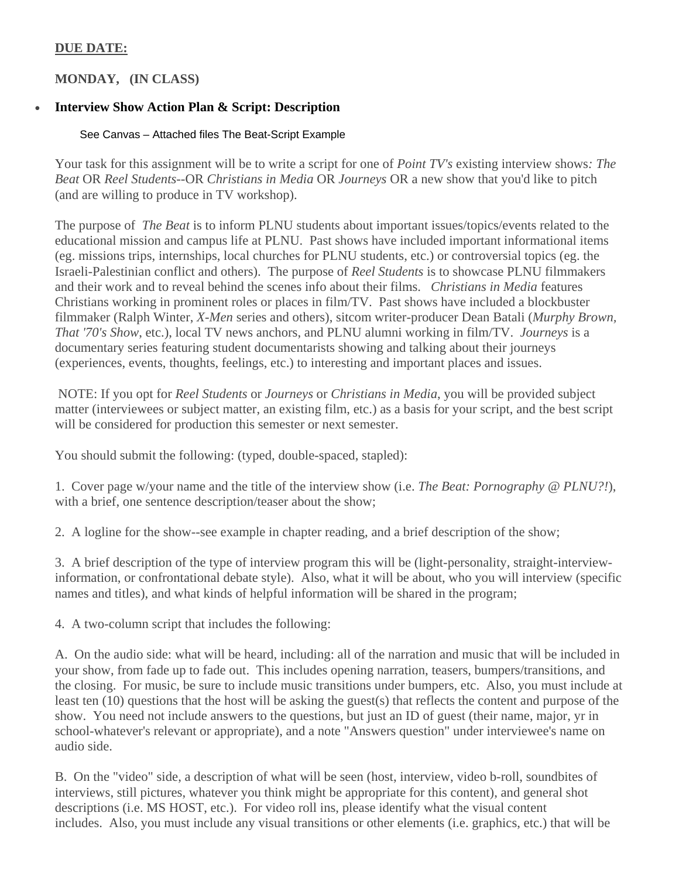# **DUE DATE:**

# **MONDAY, (IN CLASS)**

# **Interview Show Action Plan & Script: Description**

## See Canvas – Attached files The Beat-Script Example

Your task for this assignment will be to write a script for one of *Point TV's* existing interview shows*: The Beat* OR *Reel Students*--OR *Christians in Media* OR *Journeys* OR a new show that you'd like to pitch (and are willing to produce in TV workshop).

The purpose of *The Beat* is to inform PLNU students about important issues/topics/events related to the educational mission and campus life at PLNU. Past shows have included important informational items (eg. missions trips, internships, local churches for PLNU students, etc.) or controversial topics (eg. the Israeli-Palestinian conflict and others). The purpose of *Reel Students* is to showcase PLNU filmmakers and their work and to reveal behind the scenes info about their films. *Christians in Media* features Christians working in prominent roles or places in film/TV. Past shows have included a blockbuster filmmaker (Ralph Winter, *X-Men* series and others), sitcom writer-producer Dean Batali (*Murphy Brown, That '70's Show*, etc.), local TV news anchors, and PLNU alumni working in film/TV. *Journeys* is a documentary series featuring student documentarists showing and talking about their journeys (experiences, events, thoughts, feelings, etc.) to interesting and important places and issues.

 NOTE: If you opt for *Reel Students* or *Journeys* or *Christians in Media*, you will be provided subject matter (interviewees or subject matter, an existing film, etc.) as a basis for your script, and the best script will be considered for production this semester or next semester.

You should submit the following: (typed, double-spaced, stapled):

1. Cover page w/your name and the title of the interview show (i.e. *The Beat: Pornography @ PLNU?!*), with a brief, one sentence description/teaser about the show;

2. A logline for the show--see example in chapter reading, and a brief description of the show;

3. A brief description of the type of interview program this will be (light-personality, straight-interviewinformation, or confrontational debate style). Also, what it will be about, who you will interview (specific names and titles), and what kinds of helpful information will be shared in the program;

4. A two-column script that includes the following:

A. On the audio side: what will be heard, including: all of the narration and music that will be included in your show, from fade up to fade out. This includes opening narration, teasers, bumpers/transitions, and the closing. For music, be sure to include music transitions under bumpers, etc. Also, you must include at least ten (10) questions that the host will be asking the guest(s) that reflects the content and purpose of the show. You need not include answers to the questions, but just an ID of guest (their name, major, yr in school-whatever's relevant or appropriate), and a note "Answers question" under interviewee's name on audio side.

B. On the "video" side, a description of what will be seen (host, interview, video b-roll, soundbites of interviews, still pictures, whatever you think might be appropriate for this content), and general shot descriptions (i.e. MS HOST, etc.). For video roll ins, please identify what the visual content includes. Also, you must include any visual transitions or other elements (i.e. graphics, etc.) that will be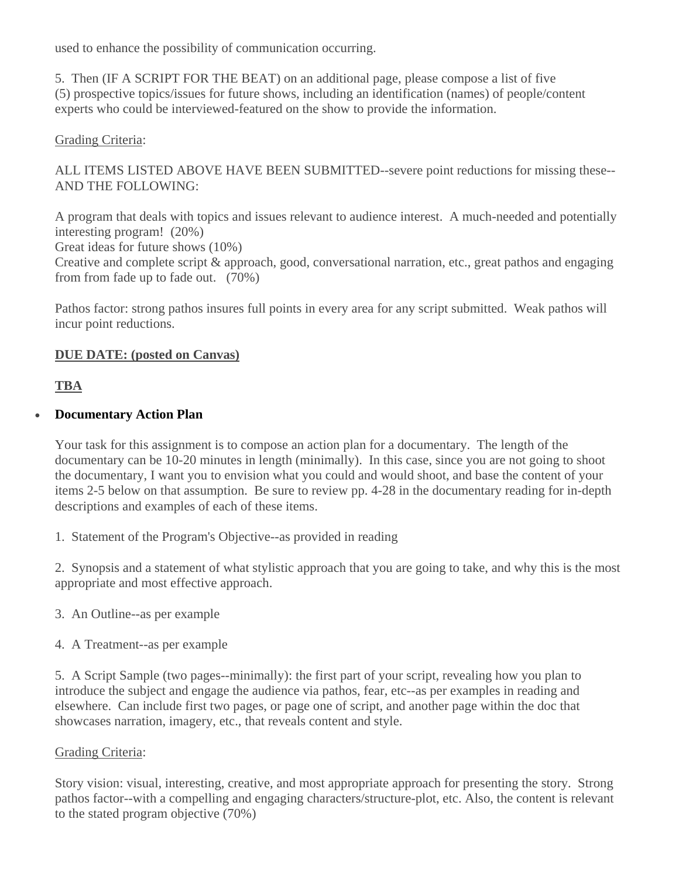used to enhance the possibility of communication occurring.

5. Then (IF A SCRIPT FOR THE BEAT) on an additional page, please compose a list of five (5) prospective topics/issues for future shows, including an identification (names) of people/content experts who could be interviewed-featured on the show to provide the information.

# Grading Criteria:

ALL ITEMS LISTED ABOVE HAVE BEEN SUBMITTED--severe point reductions for missing these-- AND THE FOLLOWING:

A program that deals with topics and issues relevant to audience interest. A much-needed and potentially interesting program! (20%)

Great ideas for future shows (10%)

Creative and complete script & approach, good, conversational narration, etc., great pathos and engaging from from fade up to fade out. (70%)

Pathos factor: strong pathos insures full points in every area for any script submitted. Weak pathos will incur point reductions.

# **DUE DATE: (posted on Canvas)**

**TBA** 

# **Documentary Action Plan**

Your task for this assignment is to compose an action plan for a documentary. The length of the documentary can be 10-20 minutes in length (minimally). In this case, since you are not going to shoot the documentary, I want you to envision what you could and would shoot, and base the content of your items 2-5 below on that assumption. Be sure to review pp. 4-28 in the documentary reading for in-depth descriptions and examples of each of these items.

1. Statement of the Program's Objective--as provided in reading

2. Synopsis and a statement of what stylistic approach that you are going to take, and why this is the most appropriate and most effective approach.

- 3. An Outline--as per example
- 4. A Treatment--as per example

5. A Script Sample (two pages--minimally): the first part of your script, revealing how you plan to introduce the subject and engage the audience via pathos, fear, etc--as per examples in reading and elsewhere. Can include first two pages, or page one of script, and another page within the doc that showcases narration, imagery, etc., that reveals content and style.

# Grading Criteria:

Story vision: visual, interesting, creative, and most appropriate approach for presenting the story. Strong pathos factor--with a compelling and engaging characters/structure-plot, etc. Also, the content is relevant to the stated program objective (70%)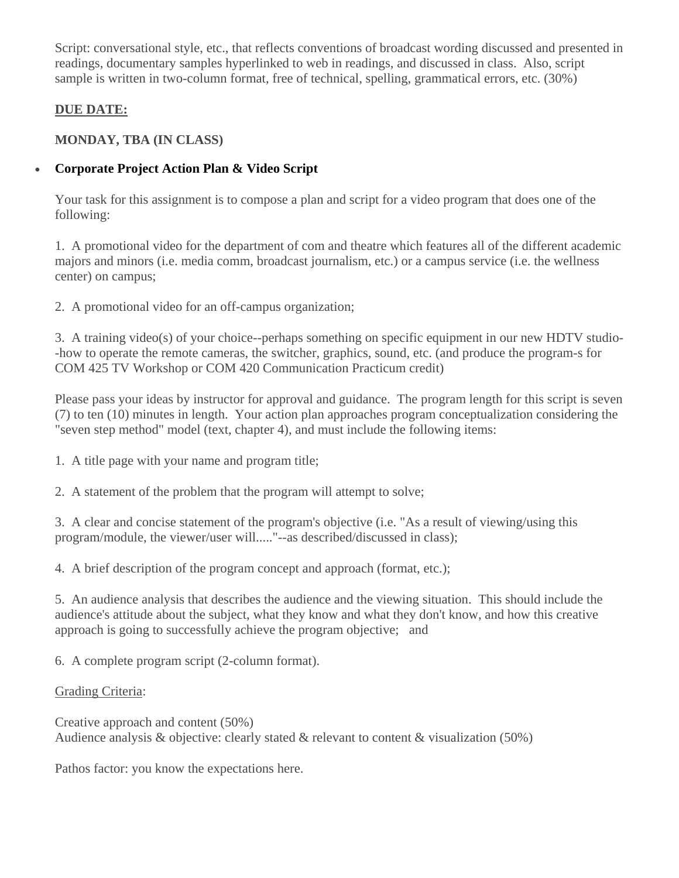Script: conversational style, etc., that reflects conventions of broadcast wording discussed and presented in readings, documentary samples hyperlinked to web in readings, and discussed in class. Also, script sample is written in two-column format, free of technical, spelling, grammatical errors, etc. (30%)

# **DUE DATE:**

# **MONDAY, TBA (IN CLASS)**

# **Corporate Project Action Plan & Video Script**

Your task for this assignment is to compose a plan and script for a video program that does one of the following:

1. A promotional video for the department of com and theatre which features all of the different academic majors and minors (i.e. media comm, broadcast journalism, etc.) or a campus service (i.e. the wellness center) on campus;

2. A promotional video for an off-campus organization;

3. A training video(s) of your choice--perhaps something on specific equipment in our new HDTV studio- -how to operate the remote cameras, the switcher, graphics, sound, etc. (and produce the program-s for COM 425 TV Workshop or COM 420 Communication Practicum credit)

Please pass your ideas by instructor for approval and guidance. The program length for this script is seven (7) to ten (10) minutes in length. Your action plan approaches program conceptualization considering the "seven step method" model (text, chapter 4), and must include the following items:

1. A title page with your name and program title;

2. A statement of the problem that the program will attempt to solve;

3. A clear and concise statement of the program's objective (i.e. "As a result of viewing/using this program/module, the viewer/user will....."--as described/discussed in class);

4. A brief description of the program concept and approach (format, etc.);

5. An audience analysis that describes the audience and the viewing situation. This should include the audience's attitude about the subject, what they know and what they don't know, and how this creative approach is going to successfully achieve the program objective; and

6. A complete program script (2-column format).

# Grading Criteria:

Creative approach and content (50%) Audience analysis & objective: clearly stated & relevant to content & visualization (50%)

Pathos factor: you know the expectations here.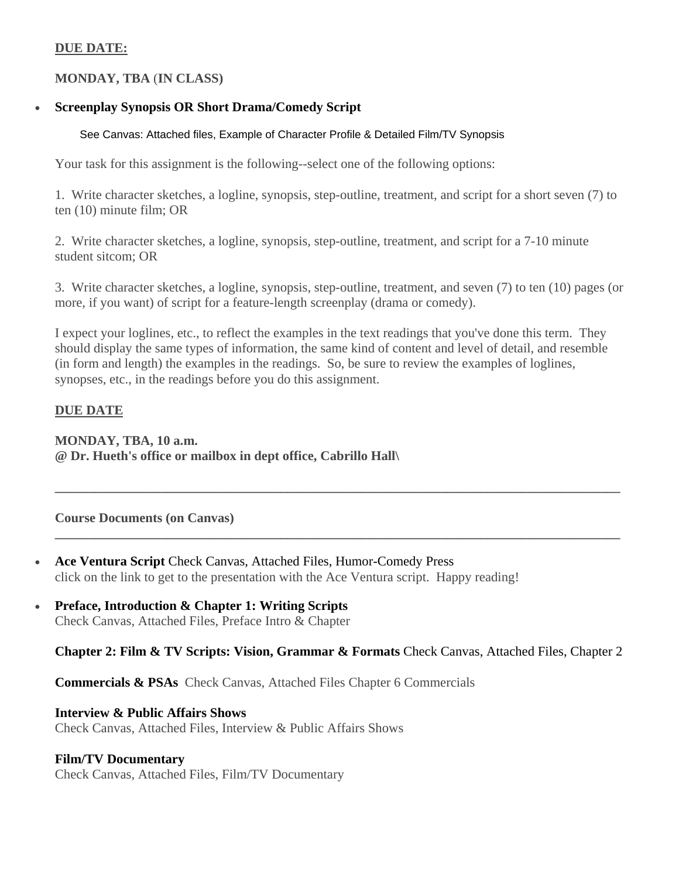## **DUE DATE:**

# **MONDAY, TBA** (**IN CLASS)**

# **Screenplay Synopsis OR Short Drama/Comedy Script**

## See Canvas: Attached files, Example of Character Profile & Detailed Film/TV Synopsis

Your task for this assignment is the following--select one of the following options:

1. Write character sketches, a logline, synopsis, step-outline, treatment, and script for a short seven (7) to ten (10) minute film; OR

2. Write character sketches, a logline, synopsis, step-outline, treatment, and script for a 7-10 minute student sitcom; OR

3. Write character sketches, a logline, synopsis, step-outline, treatment, and seven (7) to ten (10) pages (or more, if you want) of script for a feature-length screenplay (drama or comedy).

I expect your loglines, etc., to reflect the examples in the text readings that you've done this term. They should display the same types of information, the same kind of content and level of detail, and resemble (in form and length) the examples in the readings. So, be sure to review the examples of loglines, synopses, etc., in the readings before you do this assignment.

**\_\_\_\_\_\_\_\_\_\_\_\_\_\_\_\_\_\_\_\_\_\_\_\_\_\_\_\_\_\_\_\_\_\_\_\_\_\_\_\_\_\_\_\_\_\_\_\_\_\_\_\_\_\_\_\_\_\_\_\_\_\_\_\_\_\_\_\_\_\_\_\_\_\_\_\_\_\_\_\_\_\_\_\_\_** 

**\_\_\_\_\_\_\_\_\_\_\_\_\_\_\_\_\_\_\_\_\_\_\_\_\_\_\_\_\_\_\_\_\_\_\_\_\_\_\_\_\_\_\_\_\_\_\_\_\_\_\_\_\_\_\_\_\_\_\_\_\_\_\_\_\_\_\_\_\_\_\_\_\_\_\_\_\_\_\_\_\_\_\_\_\_** 

# **DUE DATE**

**MONDAY, TBA, 10 a.m. @ Dr. Hueth's office or mailbox in dept office, Cabrillo Hall\** 

### **Course Documents (on Canvas)**

- Ace Ventura Script Check Canvas, Attached Files, Humor-Comedy Press click on the link to get to the presentation with the Ace Ventura script. Happy reading!
- **Preface, Introduction & Chapter 1: Writing Scripts** Check Canvas, Attached Files, Preface Intro & Chapter

## **Chapter 2: Film & TV Scripts: Vision, Grammar & Formats** Check Canvas, Attached Files, Chapter 2

**Commercials & PSAs** Check Canvas, Attached Files Chapter 6 Commercials

### **Interview & Public Affairs Shows**

Check Canvas, Attached Files, Interview & Public Affairs Shows

### **Film/TV Documentary**

Check Canvas, Attached Files, Film/TV Documentary